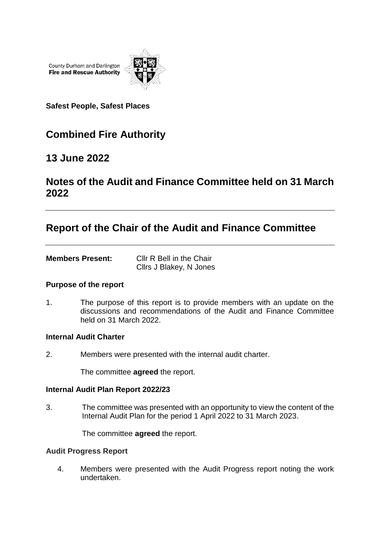County Durham and Darlington **Fire and Rescue Authority** 



**Safest People, Safest Places**

# **Combined Fire Authority**

### **13 June 2022**

## **Notes of the Audit and Finance Committee held on 31 March 2022**

## **Report of the Chair of the Audit and Finance Committee**

| <b>Members Present:</b> | Cllr R Bell in the Chair |
|-------------------------|--------------------------|
|                         | Cllrs J Blakey, N Jones  |

### **Purpose of the report**

1. The purpose of this report is to provide members with an update on the discussions and recommendations of the Audit and Finance Committee held on 31 March 2022.

#### **Internal Audit Charter**

2. Members were presented with the internal audit charter.

The committee **agreed** the report.

#### **Internal Audit Plan Report 2022/23**

3. The committee was presented with an opportunity to view the content of the Internal Audit Plan for the period 1 April 2022 to 31 March 2023.

The committee **agreed** the report.

#### **Audit Progress Report**

4. Members were presented with the Audit Progress report noting the work undertaken.